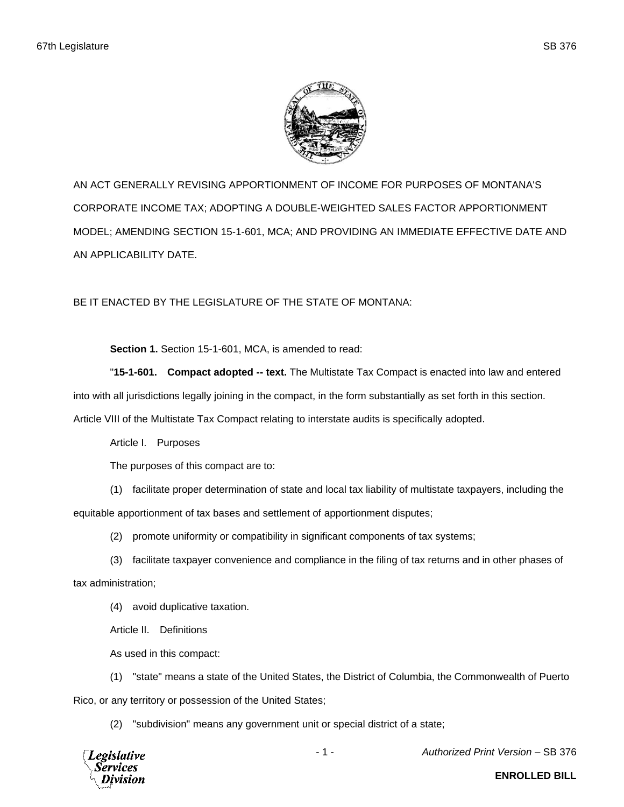

AN ACT GENERALLY REVISING APPORTIONMENT OF INCOME FOR PURPOSES OF MONTANA'S CORPORATE INCOME TAX; ADOPTING A DOUBLE-WEIGHTED SALES FACTOR APPORTIONMENT MODEL; AMENDING SECTION 15-1-601, MCA; AND PROVIDING AN IMMEDIATE EFFECTIVE DATE AND AN APPLICABILITY DATE.

BE IT ENACTED BY THE LEGISLATURE OF THE STATE OF MONTANA:

**Section 1.** Section 15-1-601, MCA, is amended to read:

"**15-1-601. Compact adopted -- text.** The Multistate Tax Compact is enacted into law and entered into with all jurisdictions legally joining in the compact, in the form substantially as set forth in this section. Article VIII of the Multistate Tax Compact relating to interstate audits is specifically adopted.

Article I. Purposes

The purposes of this compact are to:

(1) facilitate proper determination of state and local tax liability of multistate taxpayers, including the

equitable apportionment of tax bases and settlement of apportionment disputes;

(2) promote uniformity or compatibility in significant components of tax systems;

(3) facilitate taxpayer convenience and compliance in the filing of tax returns and in other phases of tax administration;

(4) avoid duplicative taxation.

Article II. Definitions

As used in this compact:

(1) "state" means a state of the United States, the District of Columbia, the Commonwealth of Puerto Rico, or any territory or possession of the United States;

(2) "subdivision" means any government unit or special district of a state;



- 1 - *Authorized Print Version* – SB 376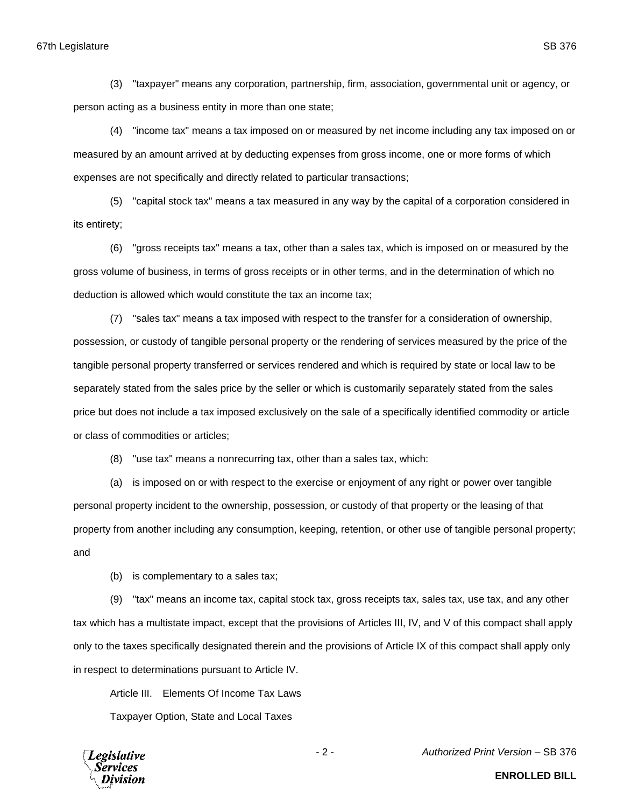(3) "taxpayer" means any corporation, partnership, firm, association, governmental unit or agency, or person acting as a business entity in more than one state;

(4) "income tax" means a tax imposed on or measured by net income including any tax imposed on or measured by an amount arrived at by deducting expenses from gross income, one or more forms of which expenses are not specifically and directly related to particular transactions;

(5) "capital stock tax" means a tax measured in any way by the capital of a corporation considered in its entirety;

(6) "gross receipts tax" means a tax, other than a sales tax, which is imposed on or measured by the gross volume of business, in terms of gross receipts or in other terms, and in the determination of which no deduction is allowed which would constitute the tax an income tax;

(7) "sales tax" means a tax imposed with respect to the transfer for a consideration of ownership, possession, or custody of tangible personal property or the rendering of services measured by the price of the tangible personal property transferred or services rendered and which is required by state or local law to be separately stated from the sales price by the seller or which is customarily separately stated from the sales price but does not include a tax imposed exclusively on the sale of a specifically identified commodity or article or class of commodities or articles;

(8) "use tax" means a nonrecurring tax, other than a sales tax, which:

(a) is imposed on or with respect to the exercise or enjoyment of any right or power over tangible personal property incident to the ownership, possession, or custody of that property or the leasing of that property from another including any consumption, keeping, retention, or other use of tangible personal property; and

(b) is complementary to a sales tax;

(9) "tax" means an income tax, capital stock tax, gross receipts tax, sales tax, use tax, and any other tax which has a multistate impact, except that the provisions of Articles III, IV, and V of this compact shall apply only to the taxes specifically designated therein and the provisions of Article IX of this compact shall apply only in respect to determinations pursuant to Article IV.

Article III. Elements Of Income Tax Laws Taxpayer Option, State and Local Taxes



- 2 - *Authorized Print Version* – SB 376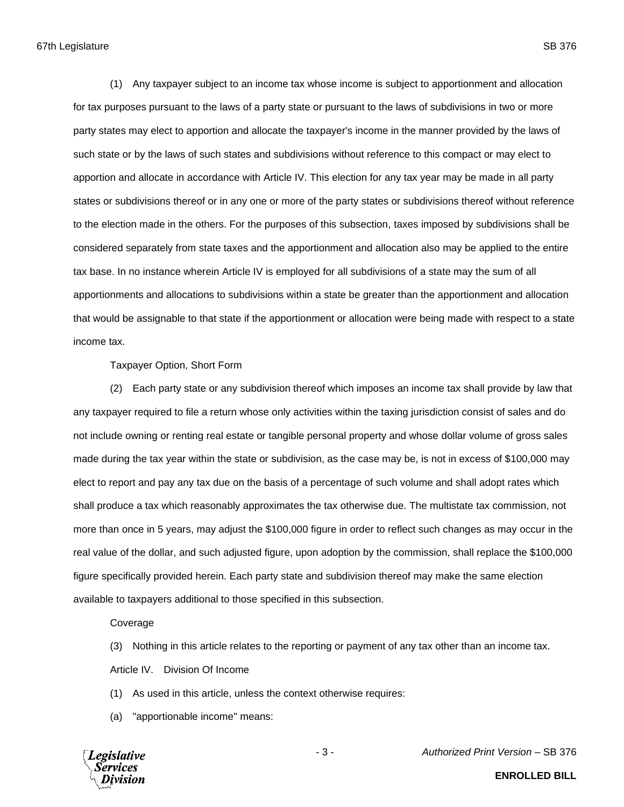67th Legislature SB 376

(1) Any taxpayer subject to an income tax whose income is subject to apportionment and allocation for tax purposes pursuant to the laws of a party state or pursuant to the laws of subdivisions in two or more party states may elect to apportion and allocate the taxpayer's income in the manner provided by the laws of such state or by the laws of such states and subdivisions without reference to this compact or may elect to apportion and allocate in accordance with Article IV. This election for any tax year may be made in all party states or subdivisions thereof or in any one or more of the party states or subdivisions thereof without reference to the election made in the others. For the purposes of this subsection, taxes imposed by subdivisions shall be considered separately from state taxes and the apportionment and allocation also may be applied to the entire tax base. In no instance wherein Article IV is employed for all subdivisions of a state may the sum of all apportionments and allocations to subdivisions within a state be greater than the apportionment and allocation that would be assignable to that state if the apportionment or allocation were being made with respect to a state income tax.

Taxpayer Option, Short Form

(2) Each party state or any subdivision thereof which imposes an income tax shall provide by law that any taxpayer required to file a return whose only activities within the taxing jurisdiction consist of sales and do not include owning or renting real estate or tangible personal property and whose dollar volume of gross sales made during the tax year within the state or subdivision, as the case may be, is not in excess of \$100,000 may elect to report and pay any tax due on the basis of a percentage of such volume and shall adopt rates which shall produce a tax which reasonably approximates the tax otherwise due. The multistate tax commission, not more than once in 5 years, may adjust the \$100,000 figure in order to reflect such changes as may occur in the real value of the dollar, and such adjusted figure, upon adoption by the commission, shall replace the \$100,000 figure specifically provided herein. Each party state and subdivision thereof may make the same election available to taxpayers additional to those specified in this subsection.

Coverage

(3) Nothing in this article relates to the reporting or payment of any tax other than an income tax. Article IV. Division Of Income

- (1) As used in this article, unless the context otherwise requires:
- (a) "apportionable income" means:



- 3 - *Authorized Print Version* – SB 376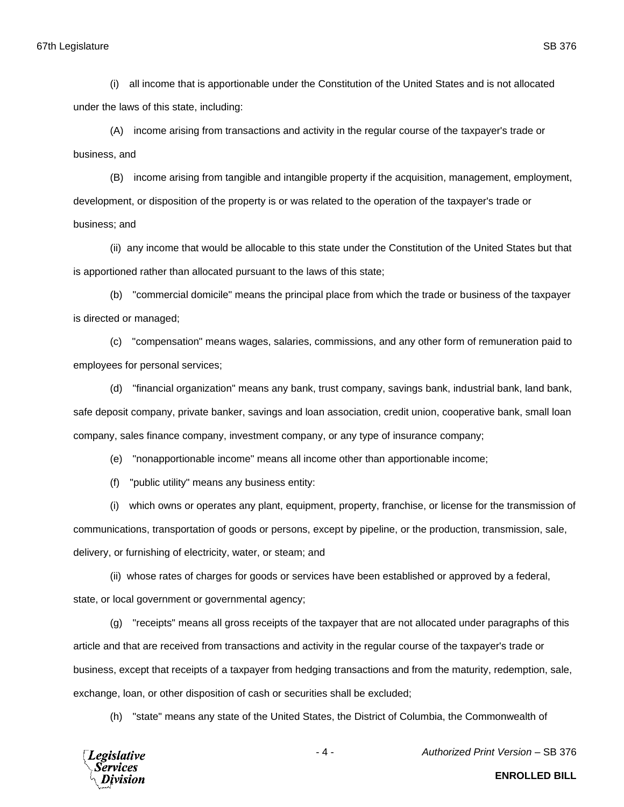## 67th Legislature SB 376

(i) all income that is apportionable under the Constitution of the United States and is not allocated under the laws of this state, including:

(A) income arising from transactions and activity in the regular course of the taxpayer's trade or business, and

(B) income arising from tangible and intangible property if the acquisition, management, employment, development, or disposition of the property is or was related to the operation of the taxpayer's trade or business; and

(ii) any income that would be allocable to this state under the Constitution of the United States but that is apportioned rather than allocated pursuant to the laws of this state;

(b) "commercial domicile" means the principal place from which the trade or business of the taxpayer is directed or managed;

(c) "compensation" means wages, salaries, commissions, and any other form of remuneration paid to employees for personal services;

(d) "financial organization" means any bank, trust company, savings bank, industrial bank, land bank, safe deposit company, private banker, savings and loan association, credit union, cooperative bank, small loan company, sales finance company, investment company, or any type of insurance company;

(e) "nonapportionable income" means all income other than apportionable income;

(f) "public utility" means any business entity:

(i) which owns or operates any plant, equipment, property, franchise, or license for the transmission of communications, transportation of goods or persons, except by pipeline, or the production, transmission, sale, delivery, or furnishing of electricity, water, or steam; and

(ii) whose rates of charges for goods or services have been established or approved by a federal, state, or local government or governmental agency;

(g) "receipts" means all gross receipts of the taxpayer that are not allocated under paragraphs of this article and that are received from transactions and activity in the regular course of the taxpayer's trade or business, except that receipts of a taxpayer from hedging transactions and from the maturity, redemption, sale, exchange, loan, or other disposition of cash or securities shall be excluded;

(h) "state" means any state of the United States, the District of Columbia, the Commonwealth of

**Legislative** *Services* 

**ENROLLED BILL**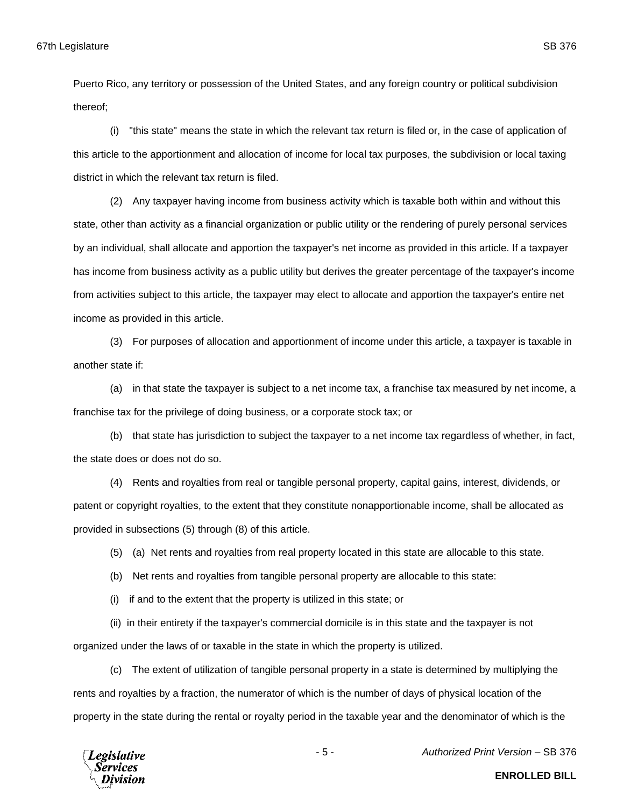Puerto Rico, any territory or possession of the United States, and any foreign country or political subdivision thereof;

(i) "this state" means the state in which the relevant tax return is filed or, in the case of application of this article to the apportionment and allocation of income for local tax purposes, the subdivision or local taxing district in which the relevant tax return is filed.

(2) Any taxpayer having income from business activity which is taxable both within and without this state, other than activity as a financial organization or public utility or the rendering of purely personal services by an individual, shall allocate and apportion the taxpayer's net income as provided in this article. If a taxpayer has income from business activity as a public utility but derives the greater percentage of the taxpayer's income from activities subject to this article, the taxpayer may elect to allocate and apportion the taxpayer's entire net income as provided in this article.

(3) For purposes of allocation and apportionment of income under this article, a taxpayer is taxable in another state if:

(a) in that state the taxpayer is subject to a net income tax, a franchise tax measured by net income, a franchise tax for the privilege of doing business, or a corporate stock tax; or

(b) that state has jurisdiction to subject the taxpayer to a net income tax regardless of whether, in fact, the state does or does not do so.

(4) Rents and royalties from real or tangible personal property, capital gains, interest, dividends, or patent or copyright royalties, to the extent that they constitute nonapportionable income, shall be allocated as provided in subsections (5) through (8) of this article.

(5) (a) Net rents and royalties from real property located in this state are allocable to this state.

(b) Net rents and royalties from tangible personal property are allocable to this state:

(i) if and to the extent that the property is utilized in this state; or

(ii) in their entirety if the taxpayer's commercial domicile is in this state and the taxpayer is not

organized under the laws of or taxable in the state in which the property is utilized.

(c) The extent of utilization of tangible personal property in a state is determined by multiplying the rents and royalties by a fraction, the numerator of which is the number of days of physical location of the property in the state during the rental or royalty period in the taxable year and the denominator of which is the



- 5 - *Authorized Print Version* – SB 376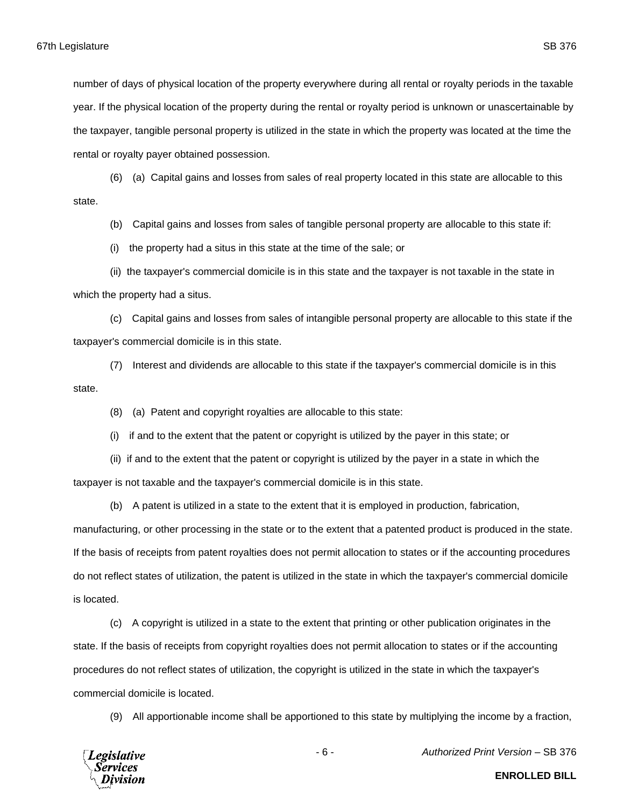number of days of physical location of the property everywhere during all rental or royalty periods in the taxable year. If the physical location of the property during the rental or royalty period is unknown or unascertainable by the taxpayer, tangible personal property is utilized in the state in which the property was located at the time the rental or royalty payer obtained possession.

(6) (a) Capital gains and losses from sales of real property located in this state are allocable to this state.

(b) Capital gains and losses from sales of tangible personal property are allocable to this state if:

(i) the property had a situs in this state at the time of the sale; or

(ii) the taxpayer's commercial domicile is in this state and the taxpayer is not taxable in the state in which the property had a situs.

(c) Capital gains and losses from sales of intangible personal property are allocable to this state if the taxpayer's commercial domicile is in this state.

(7) Interest and dividends are allocable to this state if the taxpayer's commercial domicile is in this state.

(8) (a) Patent and copyright royalties are allocable to this state:

(i) if and to the extent that the patent or copyright is utilized by the payer in this state; or

(ii) if and to the extent that the patent or copyright is utilized by the payer in a state in which the taxpayer is not taxable and the taxpayer's commercial domicile is in this state.

(b) A patent is utilized in a state to the extent that it is employed in production, fabrication,

manufacturing, or other processing in the state or to the extent that a patented product is produced in the state. If the basis of receipts from patent royalties does not permit allocation to states or if the accounting procedures do not reflect states of utilization, the patent is utilized in the state in which the taxpayer's commercial domicile is located.

(c) A copyright is utilized in a state to the extent that printing or other publication originates in the state. If the basis of receipts from copyright royalties does not permit allocation to states or if the accounting procedures do not reflect states of utilization, the copyright is utilized in the state in which the taxpayer's commercial domicile is located.

(9) All apportionable income shall be apportioned to this state by multiplying the income by a fraction,



- 6 - *Authorized Print Version* – SB 376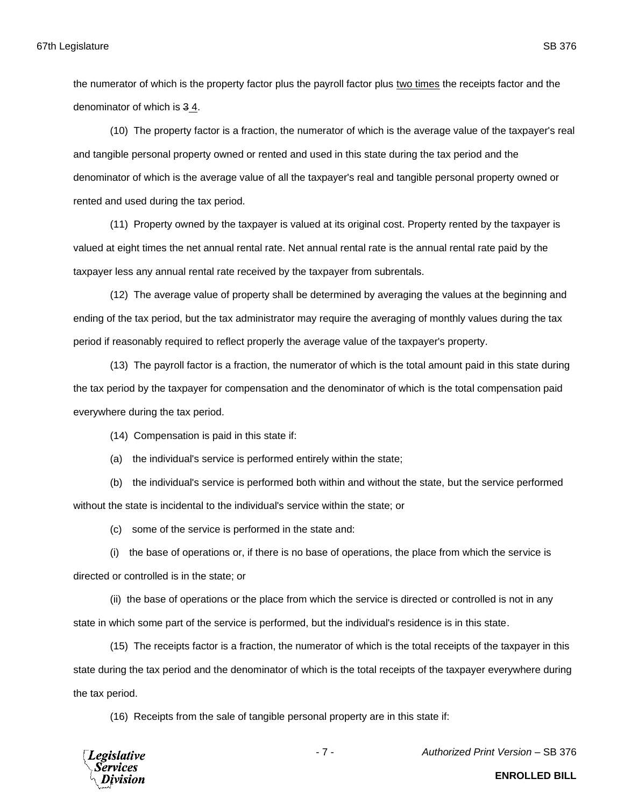the numerator of which is the property factor plus the payroll factor plus two times the receipts factor and the denominator of which is 3 4.

(10) The property factor is a fraction, the numerator of which is the average value of the taxpayer's real and tangible personal property owned or rented and used in this state during the tax period and the denominator of which is the average value of all the taxpayer's real and tangible personal property owned or rented and used during the tax period.

(11) Property owned by the taxpayer is valued at its original cost. Property rented by the taxpayer is valued at eight times the net annual rental rate. Net annual rental rate is the annual rental rate paid by the taxpayer less any annual rental rate received by the taxpayer from subrentals.

(12) The average value of property shall be determined by averaging the values at the beginning and ending of the tax period, but the tax administrator may require the averaging of monthly values during the tax period if reasonably required to reflect properly the average value of the taxpayer's property.

(13) The payroll factor is a fraction, the numerator of which is the total amount paid in this state during the tax period by the taxpayer for compensation and the denominator of which is the total compensation paid everywhere during the tax period.

(14) Compensation is paid in this state if:

(a) the individual's service is performed entirely within the state;

(b) the individual's service is performed both within and without the state, but the service performed without the state is incidental to the individual's service within the state; or

(c) some of the service is performed in the state and:

(i) the base of operations or, if there is no base of operations, the place from which the service is directed or controlled is in the state; or

(ii) the base of operations or the place from which the service is directed or controlled is not in any state in which some part of the service is performed, but the individual's residence is in this state.

(15) The receipts factor is a fraction, the numerator of which is the total receipts of the taxpayer in this state during the tax period and the denominator of which is the total receipts of the taxpayer everywhere during the tax period.

(16) Receipts from the sale of tangible personal property are in this state if: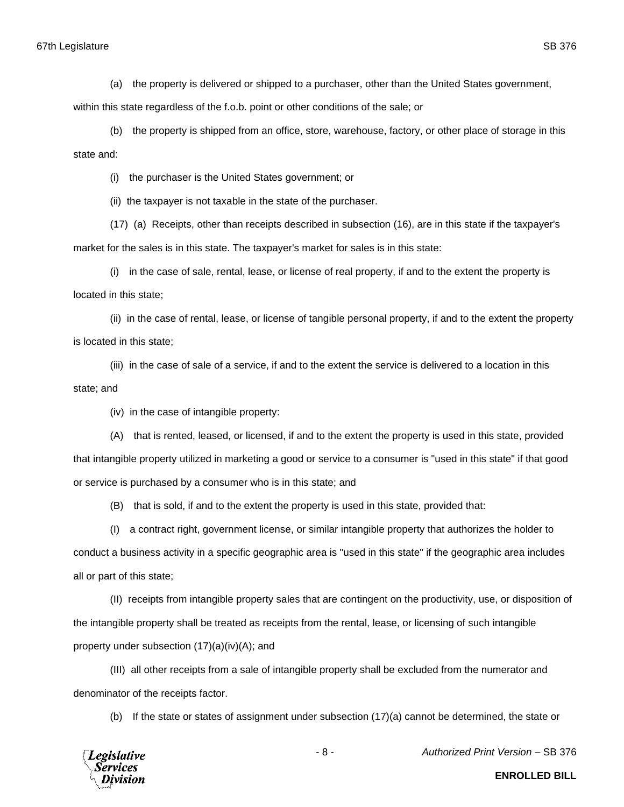(a) the property is delivered or shipped to a purchaser, other than the United States government,

within this state regardless of the f.o.b. point or other conditions of the sale; or

(b) the property is shipped from an office, store, warehouse, factory, or other place of storage in this state and:

(i) the purchaser is the United States government; or

(ii) the taxpayer is not taxable in the state of the purchaser.

(17) (a) Receipts, other than receipts described in subsection (16), are in this state if the taxpayer's market for the sales is in this state. The taxpayer's market for sales is in this state:

(i) in the case of sale, rental, lease, or license of real property, if and to the extent the property is located in this state;

(ii) in the case of rental, lease, or license of tangible personal property, if and to the extent the property is located in this state;

(iii) in the case of sale of a service, if and to the extent the service is delivered to a location in this state; and

(iv) in the case of intangible property:

(A) that is rented, leased, or licensed, if and to the extent the property is used in this state, provided that intangible property utilized in marketing a good or service to a consumer is "used in this state" if that good or service is purchased by a consumer who is in this state; and

(B) that is sold, if and to the extent the property is used in this state, provided that:

(I) a contract right, government license, or similar intangible property that authorizes the holder to

conduct a business activity in a specific geographic area is "used in this state" if the geographic area includes all or part of this state;

(II) receipts from intangible property sales that are contingent on the productivity, use, or disposition of the intangible property shall be treated as receipts from the rental, lease, or licensing of such intangible property under subsection (17)(a)(iv)(A); and

(III) all other receipts from a sale of intangible property shall be excluded from the numerator and denominator of the receipts factor.

(b) If the state or states of assignment under subsection (17)(a) cannot be determined, the state or



- 8 - *Authorized Print Version* – SB 376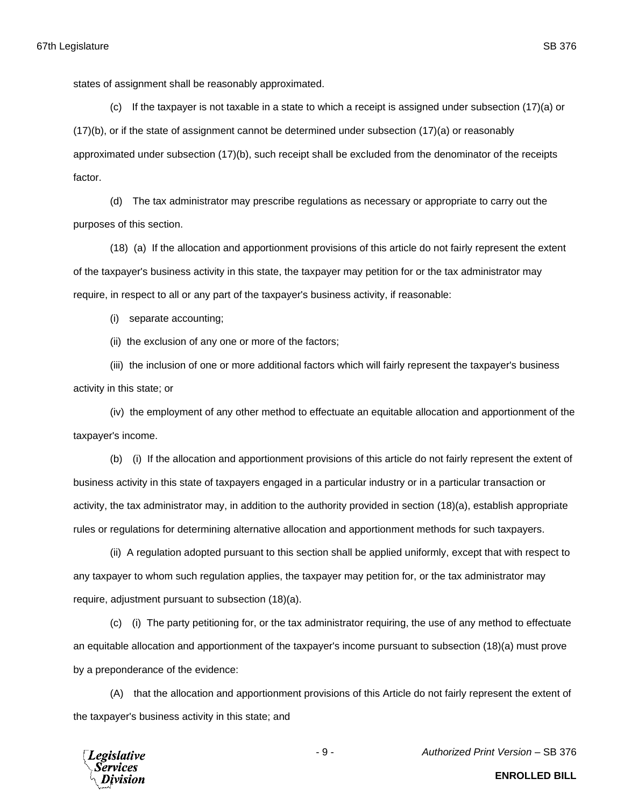states of assignment shall be reasonably approximated.

(c) If the taxpayer is not taxable in a state to which a receipt is assigned under subsection (17)(a) or

(17)(b), or if the state of assignment cannot be determined under subsection (17)(a) or reasonably approximated under subsection (17)(b), such receipt shall be excluded from the denominator of the receipts factor.

(d) The tax administrator may prescribe regulations as necessary or appropriate to carry out the purposes of this section.

(18) (a) If the allocation and apportionment provisions of this article do not fairly represent the extent of the taxpayer's business activity in this state, the taxpayer may petition for or the tax administrator may require, in respect to all or any part of the taxpayer's business activity, if reasonable:

(i) separate accounting;

(ii) the exclusion of any one or more of the factors;

(iii) the inclusion of one or more additional factors which will fairly represent the taxpayer's business activity in this state; or

(iv) the employment of any other method to effectuate an equitable allocation and apportionment of the taxpayer's income.

(b) (i) If the allocation and apportionment provisions of this article do not fairly represent the extent of business activity in this state of taxpayers engaged in a particular industry or in a particular transaction or activity, the tax administrator may, in addition to the authority provided in section (18)(a), establish appropriate rules or regulations for determining alternative allocation and apportionment methods for such taxpayers.

(ii) A regulation adopted pursuant to this section shall be applied uniformly, except that with respect to any taxpayer to whom such regulation applies, the taxpayer may petition for, or the tax administrator may require, adjustment pursuant to subsection (18)(a).

(c) (i) The party petitioning for, or the tax administrator requiring, the use of any method to effectuate an equitable allocation and apportionment of the taxpayer's income pursuant to subsection (18)(a) must prove by a preponderance of the evidence:

(A) that the allocation and apportionment provisions of this Article do not fairly represent the extent of the taxpayer's business activity in this state; and

**Legislative** Services

- 9 - *Authorized Print Version* – SB 376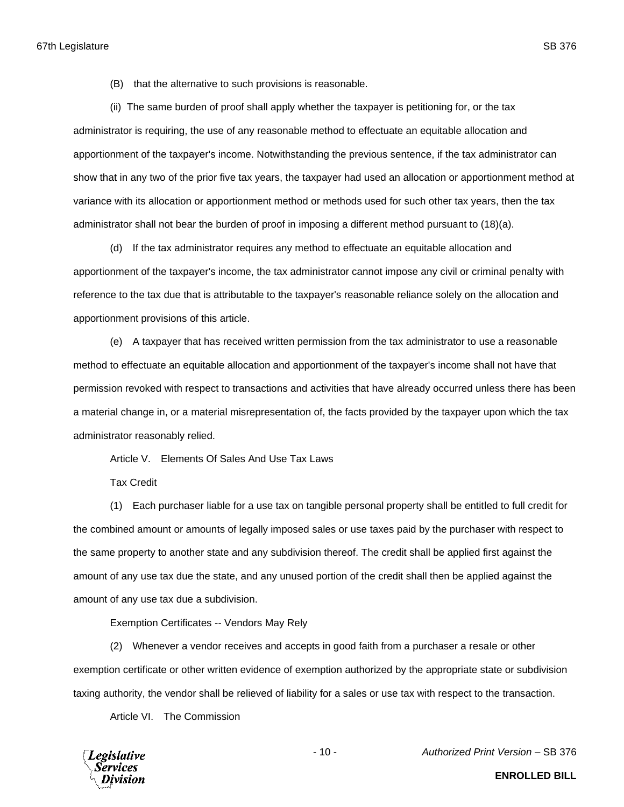(B) that the alternative to such provisions is reasonable.

(ii) The same burden of proof shall apply whether the taxpayer is petitioning for, or the tax administrator is requiring, the use of any reasonable method to effectuate an equitable allocation and apportionment of the taxpayer's income. Notwithstanding the previous sentence, if the tax administrator can show that in any two of the prior five tax years, the taxpayer had used an allocation or apportionment method at variance with its allocation or apportionment method or methods used for such other tax years, then the tax administrator shall not bear the burden of proof in imposing a different method pursuant to (18)(a).

(d) If the tax administrator requires any method to effectuate an equitable allocation and apportionment of the taxpayer's income, the tax administrator cannot impose any civil or criminal penalty with reference to the tax due that is attributable to the taxpayer's reasonable reliance solely on the allocation and apportionment provisions of this article.

(e) A taxpayer that has received written permission from the tax administrator to use a reasonable method to effectuate an equitable allocation and apportionment of the taxpayer's income shall not have that permission revoked with respect to transactions and activities that have already occurred unless there has been a material change in, or a material misrepresentation of, the facts provided by the taxpayer upon which the tax administrator reasonably relied.

Article V. Elements Of Sales And Use Tax Laws

Tax Credit

(1) Each purchaser liable for a use tax on tangible personal property shall be entitled to full credit for the combined amount or amounts of legally imposed sales or use taxes paid by the purchaser with respect to the same property to another state and any subdivision thereof. The credit shall be applied first against the amount of any use tax due the state, and any unused portion of the credit shall then be applied against the amount of any use tax due a subdivision.

Exemption Certificates -- Vendors May Rely

(2) Whenever a vendor receives and accepts in good faith from a purchaser a resale or other exemption certificate or other written evidence of exemption authorized by the appropriate state or subdivision taxing authority, the vendor shall be relieved of liability for a sales or use tax with respect to the transaction.

Article VI. The Commission



- 10 - *Authorized Print Version* – SB 376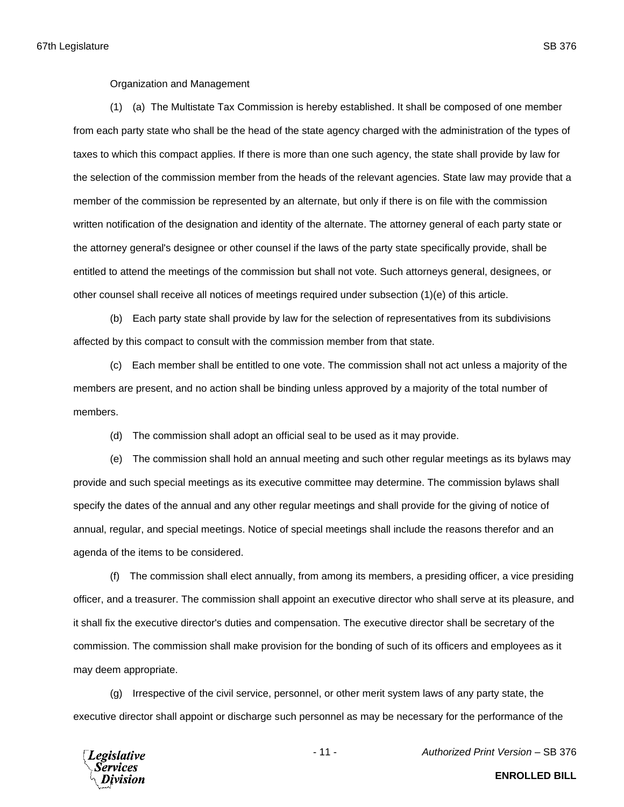Organization and Management

(1) (a) The Multistate Tax Commission is hereby established. It shall be composed of one member from each party state who shall be the head of the state agency charged with the administration of the types of taxes to which this compact applies. If there is more than one such agency, the state shall provide by law for the selection of the commission member from the heads of the relevant agencies. State law may provide that a member of the commission be represented by an alternate, but only if there is on file with the commission written notification of the designation and identity of the alternate. The attorney general of each party state or the attorney general's designee or other counsel if the laws of the party state specifically provide, shall be entitled to attend the meetings of the commission but shall not vote. Such attorneys general, designees, or other counsel shall receive all notices of meetings required under subsection (1)(e) of this article.

(b) Each party state shall provide by law for the selection of representatives from its subdivisions affected by this compact to consult with the commission member from that state.

(c) Each member shall be entitled to one vote. The commission shall not act unless a majority of the members are present, and no action shall be binding unless approved by a majority of the total number of members.

(d) The commission shall adopt an official seal to be used as it may provide.

(e) The commission shall hold an annual meeting and such other regular meetings as its bylaws may provide and such special meetings as its executive committee may determine. The commission bylaws shall specify the dates of the annual and any other regular meetings and shall provide for the giving of notice of annual, regular, and special meetings. Notice of special meetings shall include the reasons therefor and an agenda of the items to be considered.

(f) The commission shall elect annually, from among its members, a presiding officer, a vice presiding officer, and a treasurer. The commission shall appoint an executive director who shall serve at its pleasure, and it shall fix the executive director's duties and compensation. The executive director shall be secretary of the commission. The commission shall make provision for the bonding of such of its officers and employees as it may deem appropriate.

(g) Irrespective of the civil service, personnel, or other merit system laws of any party state, the executive director shall appoint or discharge such personnel as may be necessary for the performance of the



- 11 - *Authorized Print Version* – SB 376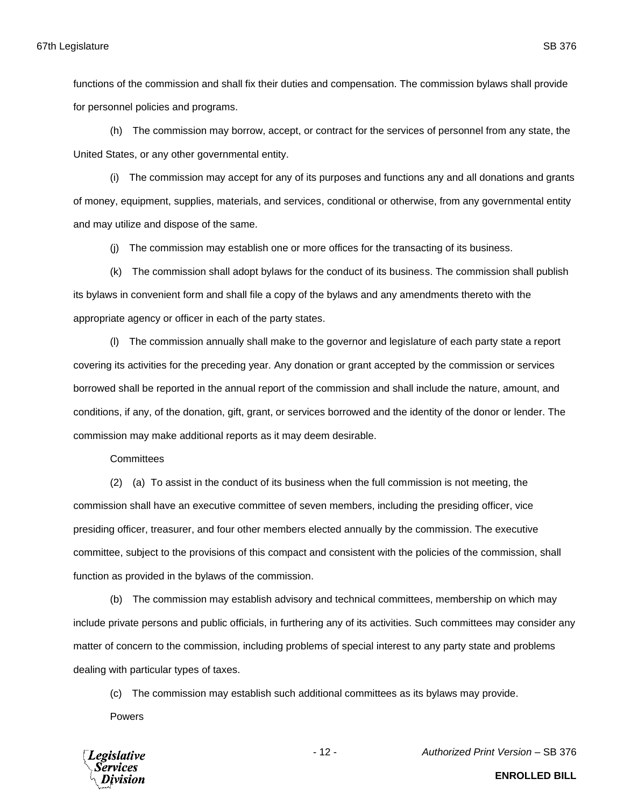functions of the commission and shall fix their duties and compensation. The commission bylaws shall provide for personnel policies and programs.

(h) The commission may borrow, accept, or contract for the services of personnel from any state, the United States, or any other governmental entity.

(i) The commission may accept for any of its purposes and functions any and all donations and grants of money, equipment, supplies, materials, and services, conditional or otherwise, from any governmental entity and may utilize and dispose of the same.

(j) The commission may establish one or more offices for the transacting of its business.

(k) The commission shall adopt bylaws for the conduct of its business. The commission shall publish its bylaws in convenient form and shall file a copy of the bylaws and any amendments thereto with the appropriate agency or officer in each of the party states.

(l) The commission annually shall make to the governor and legislature of each party state a report covering its activities for the preceding year. Any donation or grant accepted by the commission or services borrowed shall be reported in the annual report of the commission and shall include the nature, amount, and conditions, if any, of the donation, gift, grant, or services borrowed and the identity of the donor or lender. The commission may make additional reports as it may deem desirable.

**Committees** 

(2) (a) To assist in the conduct of its business when the full commission is not meeting, the commission shall have an executive committee of seven members, including the presiding officer, vice presiding officer, treasurer, and four other members elected annually by the commission. The executive committee, subject to the provisions of this compact and consistent with the policies of the commission, shall function as provided in the bylaws of the commission.

(b) The commission may establish advisory and technical committees, membership on which may include private persons and public officials, in furthering any of its activities. Such committees may consider any matter of concern to the commission, including problems of special interest to any party state and problems dealing with particular types of taxes.

(c) The commission may establish such additional committees as its bylaws may provide. Powers



- 12 - *Authorized Print Version* – SB 376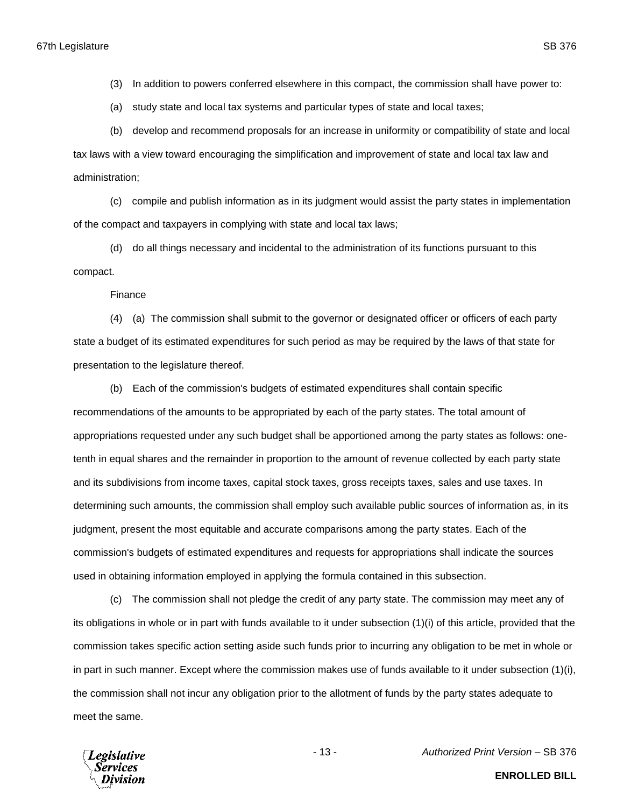(3) In addition to powers conferred elsewhere in this compact, the commission shall have power to:

(a) study state and local tax systems and particular types of state and local taxes;

(b) develop and recommend proposals for an increase in uniformity or compatibility of state and local tax laws with a view toward encouraging the simplification and improvement of state and local tax law and administration;

(c) compile and publish information as in its judgment would assist the party states in implementation of the compact and taxpayers in complying with state and local tax laws;

(d) do all things necessary and incidental to the administration of its functions pursuant to this compact.

### Finance

(4) (a) The commission shall submit to the governor or designated officer or officers of each party state a budget of its estimated expenditures for such period as may be required by the laws of that state for presentation to the legislature thereof.

(b) Each of the commission's budgets of estimated expenditures shall contain specific recommendations of the amounts to be appropriated by each of the party states. The total amount of appropriations requested under any such budget shall be apportioned among the party states as follows: onetenth in equal shares and the remainder in proportion to the amount of revenue collected by each party state and its subdivisions from income taxes, capital stock taxes, gross receipts taxes, sales and use taxes. In determining such amounts, the commission shall employ such available public sources of information as, in its judgment, present the most equitable and accurate comparisons among the party states. Each of the commission's budgets of estimated expenditures and requests for appropriations shall indicate the sources used in obtaining information employed in applying the formula contained in this subsection.

(c) The commission shall not pledge the credit of any party state. The commission may meet any of its obligations in whole or in part with funds available to it under subsection (1)(i) of this article, provided that the commission takes specific action setting aside such funds prior to incurring any obligation to be met in whole or in part in such manner. Except where the commission makes use of funds available to it under subsection (1)(i), the commission shall not incur any obligation prior to the allotment of funds by the party states adequate to meet the same.



- 13 - *Authorized Print Version* – SB 376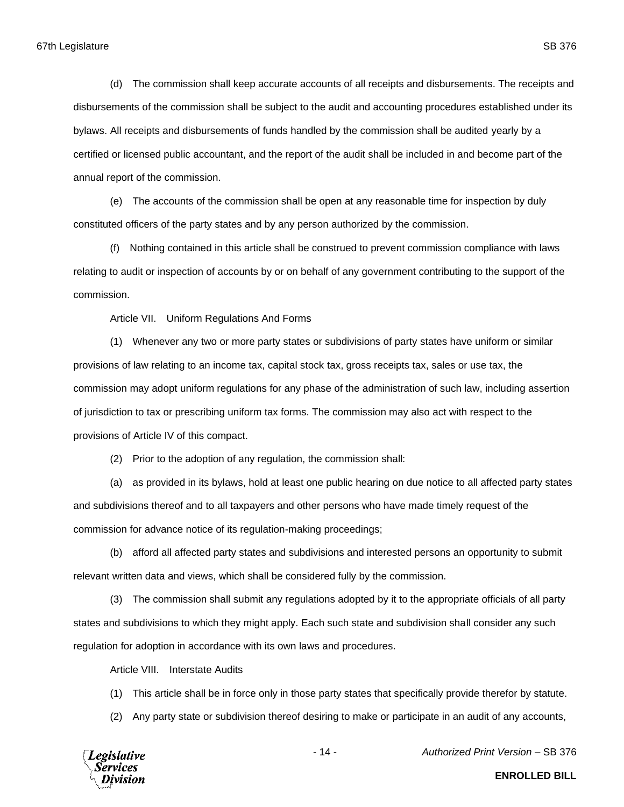(d) The commission shall keep accurate accounts of all receipts and disbursements. The receipts and disbursements of the commission shall be subject to the audit and accounting procedures established under its bylaws. All receipts and disbursements of funds handled by the commission shall be audited yearly by a certified or licensed public accountant, and the report of the audit shall be included in and become part of the annual report of the commission.

(e) The accounts of the commission shall be open at any reasonable time for inspection by duly constituted officers of the party states and by any person authorized by the commission.

(f) Nothing contained in this article shall be construed to prevent commission compliance with laws relating to audit or inspection of accounts by or on behalf of any government contributing to the support of the commission.

Article VII. Uniform Regulations And Forms

(1) Whenever any two or more party states or subdivisions of party states have uniform or similar provisions of law relating to an income tax, capital stock tax, gross receipts tax, sales or use tax, the commission may adopt uniform regulations for any phase of the administration of such law, including assertion of jurisdiction to tax or prescribing uniform tax forms. The commission may also act with respect to the provisions of Article IV of this compact.

(2) Prior to the adoption of any regulation, the commission shall:

(a) as provided in its bylaws, hold at least one public hearing on due notice to all affected party states and subdivisions thereof and to all taxpayers and other persons who have made timely request of the commission for advance notice of its regulation-making proceedings;

(b) afford all affected party states and subdivisions and interested persons an opportunity to submit relevant written data and views, which shall be considered fully by the commission.

(3) The commission shall submit any regulations adopted by it to the appropriate officials of all party states and subdivisions to which they might apply. Each such state and subdivision shall consider any such regulation for adoption in accordance with its own laws and procedures.

Article VIII. Interstate Audits

(1) This article shall be in force only in those party states that specifically provide therefor by statute.

(2) Any party state or subdivision thereof desiring to make or participate in an audit of any accounts,

**Legislative** Services

- 14 - *Authorized Print Version* – SB 376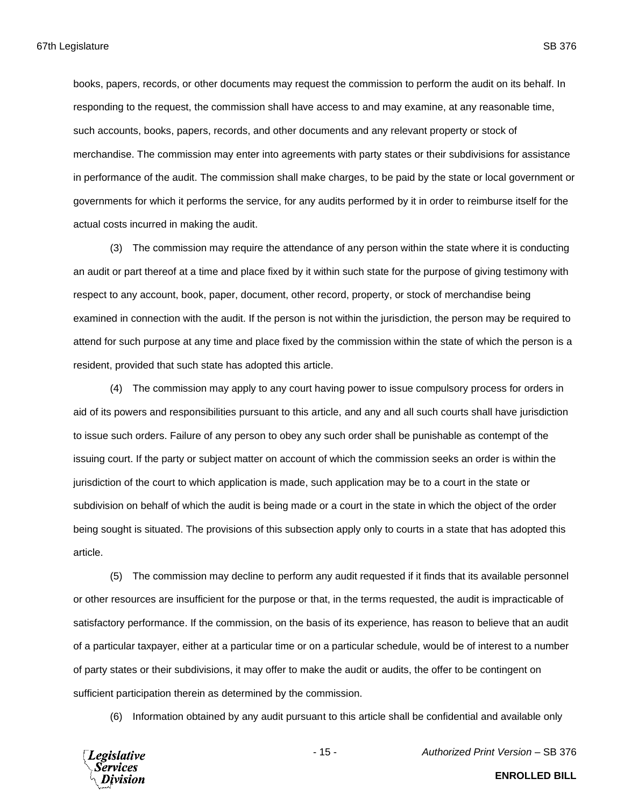books, papers, records, or other documents may request the commission to perform the audit on its behalf. In responding to the request, the commission shall have access to and may examine, at any reasonable time, such accounts, books, papers, records, and other documents and any relevant property or stock of merchandise. The commission may enter into agreements with party states or their subdivisions for assistance in performance of the audit. The commission shall make charges, to be paid by the state or local government or governments for which it performs the service, for any audits performed by it in order to reimburse itself for the actual costs incurred in making the audit.

(3) The commission may require the attendance of any person within the state where it is conducting an audit or part thereof at a time and place fixed by it within such state for the purpose of giving testimony with respect to any account, book, paper, document, other record, property, or stock of merchandise being examined in connection with the audit. If the person is not within the jurisdiction, the person may be required to attend for such purpose at any time and place fixed by the commission within the state of which the person is a resident, provided that such state has adopted this article.

(4) The commission may apply to any court having power to issue compulsory process for orders in aid of its powers and responsibilities pursuant to this article, and any and all such courts shall have jurisdiction to issue such orders. Failure of any person to obey any such order shall be punishable as contempt of the issuing court. If the party or subject matter on account of which the commission seeks an order is within the jurisdiction of the court to which application is made, such application may be to a court in the state or subdivision on behalf of which the audit is being made or a court in the state in which the object of the order being sought is situated. The provisions of this subsection apply only to courts in a state that has adopted this article.

(5) The commission may decline to perform any audit requested if it finds that its available personnel or other resources are insufficient for the purpose or that, in the terms requested, the audit is impracticable of satisfactory performance. If the commission, on the basis of its experience, has reason to believe that an audit of a particular taxpayer, either at a particular time or on a particular schedule, would be of interest to a number of party states or their subdivisions, it may offer to make the audit or audits, the offer to be contingent on sufficient participation therein as determined by the commission.

(6) Information obtained by any audit pursuant to this article shall be confidential and available only



- 15 - *Authorized Print Version* – SB 376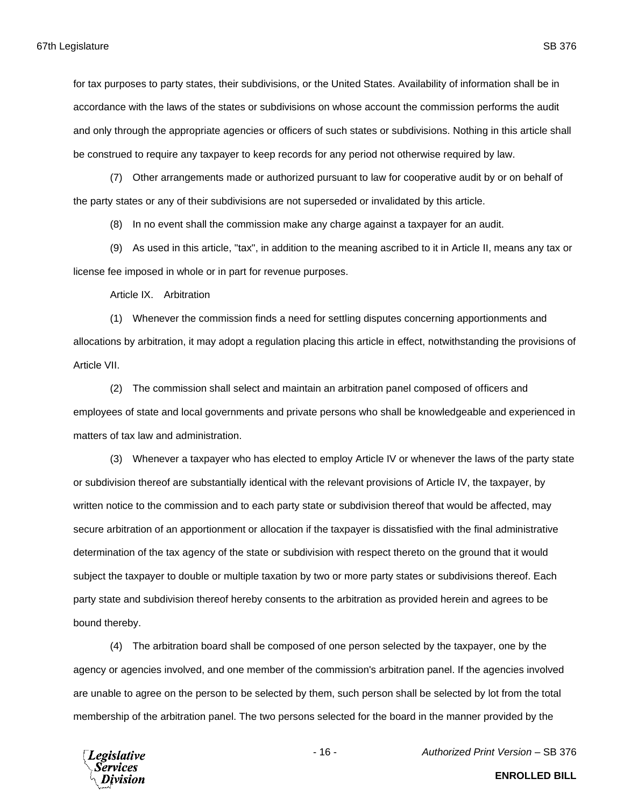for tax purposes to party states, their subdivisions, or the United States. Availability of information shall be in accordance with the laws of the states or subdivisions on whose account the commission performs the audit and only through the appropriate agencies or officers of such states or subdivisions. Nothing in this article shall be construed to require any taxpayer to keep records for any period not otherwise required by law.

(7) Other arrangements made or authorized pursuant to law for cooperative audit by or on behalf of the party states or any of their subdivisions are not superseded or invalidated by this article.

(8) In no event shall the commission make any charge against a taxpayer for an audit.

(9) As used in this article, "tax", in addition to the meaning ascribed to it in Article II, means any tax or license fee imposed in whole or in part for revenue purposes.

Article IX. Arbitration

(1) Whenever the commission finds a need for settling disputes concerning apportionments and allocations by arbitration, it may adopt a regulation placing this article in effect, notwithstanding the provisions of Article VII.

(2) The commission shall select and maintain an arbitration panel composed of officers and employees of state and local governments and private persons who shall be knowledgeable and experienced in matters of tax law and administration.

(3) Whenever a taxpayer who has elected to employ Article IV or whenever the laws of the party state or subdivision thereof are substantially identical with the relevant provisions of Article IV, the taxpayer, by written notice to the commission and to each party state or subdivision thereof that would be affected, may secure arbitration of an apportionment or allocation if the taxpayer is dissatisfied with the final administrative determination of the tax agency of the state or subdivision with respect thereto on the ground that it would subject the taxpayer to double or multiple taxation by two or more party states or subdivisions thereof. Each party state and subdivision thereof hereby consents to the arbitration as provided herein and agrees to be bound thereby.

(4) The arbitration board shall be composed of one person selected by the taxpayer, one by the agency or agencies involved, and one member of the commission's arbitration panel. If the agencies involved are unable to agree on the person to be selected by them, such person shall be selected by lot from the total membership of the arbitration panel. The two persons selected for the board in the manner provided by the



**ENROLLED BILL**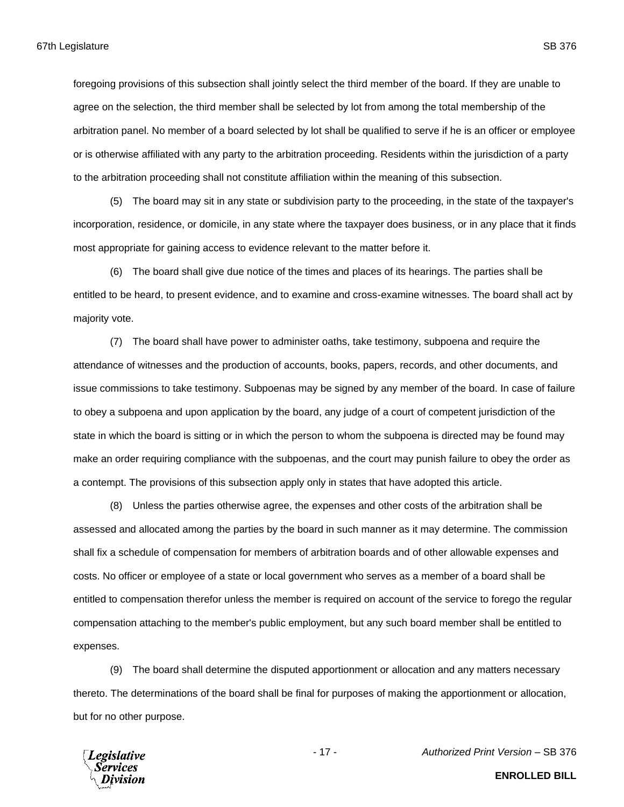foregoing provisions of this subsection shall jointly select the third member of the board. If they are unable to agree on the selection, the third member shall be selected by lot from among the total membership of the arbitration panel. No member of a board selected by lot shall be qualified to serve if he is an officer or employee or is otherwise affiliated with any party to the arbitration proceeding. Residents within the jurisdiction of a party to the arbitration proceeding shall not constitute affiliation within the meaning of this subsection.

(5) The board may sit in any state or subdivision party to the proceeding, in the state of the taxpayer's incorporation, residence, or domicile, in any state where the taxpayer does business, or in any place that it finds most appropriate for gaining access to evidence relevant to the matter before it.

(6) The board shall give due notice of the times and places of its hearings. The parties shall be entitled to be heard, to present evidence, and to examine and cross-examine witnesses. The board shall act by majority vote.

(7) The board shall have power to administer oaths, take testimony, subpoena and require the attendance of witnesses and the production of accounts, books, papers, records, and other documents, and issue commissions to take testimony. Subpoenas may be signed by any member of the board. In case of failure to obey a subpoena and upon application by the board, any judge of a court of competent jurisdiction of the state in which the board is sitting or in which the person to whom the subpoena is directed may be found may make an order requiring compliance with the subpoenas, and the court may punish failure to obey the order as a contempt. The provisions of this subsection apply only in states that have adopted this article.

(8) Unless the parties otherwise agree, the expenses and other costs of the arbitration shall be assessed and allocated among the parties by the board in such manner as it may determine. The commission shall fix a schedule of compensation for members of arbitration boards and of other allowable expenses and costs. No officer or employee of a state or local government who serves as a member of a board shall be entitled to compensation therefor unless the member is required on account of the service to forego the regular compensation attaching to the member's public employment, but any such board member shall be entitled to expenses.

(9) The board shall determine the disputed apportionment or allocation and any matters necessary thereto. The determinations of the board shall be final for purposes of making the apportionment or allocation, but for no other purpose.



**ENROLLED BILL**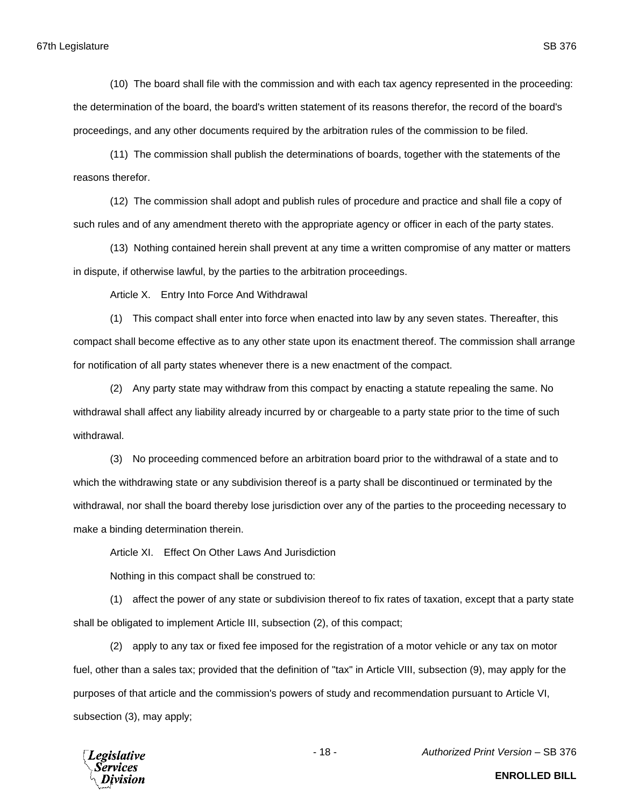(10) The board shall file with the commission and with each tax agency represented in the proceeding: the determination of the board, the board's written statement of its reasons therefor, the record of the board's proceedings, and any other documents required by the arbitration rules of the commission to be filed.

(11) The commission shall publish the determinations of boards, together with the statements of the reasons therefor.

(12) The commission shall adopt and publish rules of procedure and practice and shall file a copy of such rules and of any amendment thereto with the appropriate agency or officer in each of the party states.

(13) Nothing contained herein shall prevent at any time a written compromise of any matter or matters in dispute, if otherwise lawful, by the parties to the arbitration proceedings.

Article X. Entry Into Force And Withdrawal

(1) This compact shall enter into force when enacted into law by any seven states. Thereafter, this compact shall become effective as to any other state upon its enactment thereof. The commission shall arrange for notification of all party states whenever there is a new enactment of the compact.

(2) Any party state may withdraw from this compact by enacting a statute repealing the same. No withdrawal shall affect any liability already incurred by or chargeable to a party state prior to the time of such withdrawal.

(3) No proceeding commenced before an arbitration board prior to the withdrawal of a state and to which the withdrawing state or any subdivision thereof is a party shall be discontinued or terminated by the withdrawal, nor shall the board thereby lose jurisdiction over any of the parties to the proceeding necessary to make a binding determination therein.

Article XI. Effect On Other Laws And Jurisdiction

Nothing in this compact shall be construed to:

(1) affect the power of any state or subdivision thereof to fix rates of taxation, except that a party state shall be obligated to implement Article III, subsection (2), of this compact;

(2) apply to any tax or fixed fee imposed for the registration of a motor vehicle or any tax on motor fuel, other than a sales tax; provided that the definition of "tax" in Article VIII, subsection (9), may apply for the purposes of that article and the commission's powers of study and recommendation pursuant to Article VI, subsection (3), may apply;



- 18 - *Authorized Print Version* – SB 376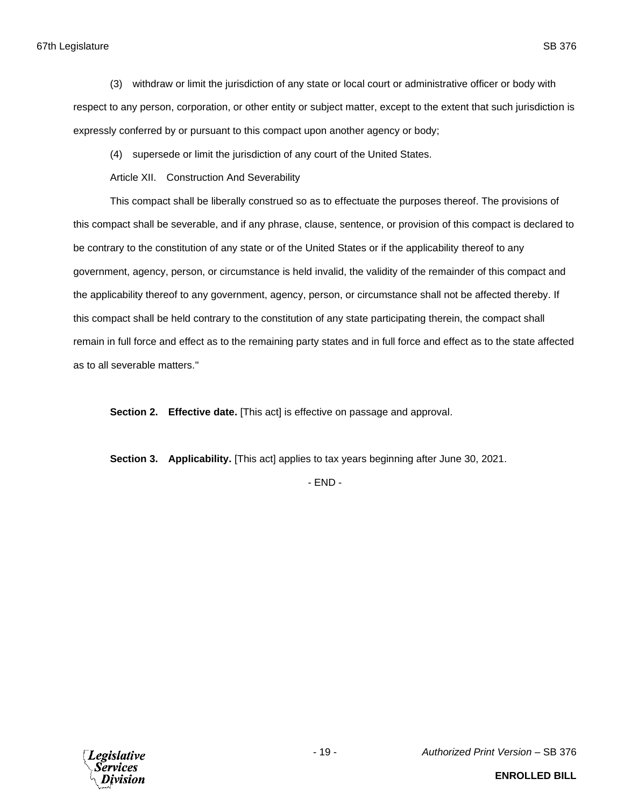(3) withdraw or limit the jurisdiction of any state or local court or administrative officer or body with respect to any person, corporation, or other entity or subject matter, except to the extent that such jurisdiction is expressly conferred by or pursuant to this compact upon another agency or body;

(4) supersede or limit the jurisdiction of any court of the United States.

Article XII. Construction And Severability

This compact shall be liberally construed so as to effectuate the purposes thereof. The provisions of this compact shall be severable, and if any phrase, clause, sentence, or provision of this compact is declared to be contrary to the constitution of any state or of the United States or if the applicability thereof to any government, agency, person, or circumstance is held invalid, the validity of the remainder of this compact and the applicability thereof to any government, agency, person, or circumstance shall not be affected thereby. If this compact shall be held contrary to the constitution of any state participating therein, the compact shall remain in full force and effect as to the remaining party states and in full force and effect as to the state affected as to all severable matters."

**Section 2. Effective date.** [This act] is effective on passage and approval.

**Section 3. Applicability.** [This act] applies to tax years beginning after June 30, 2021.

- END -

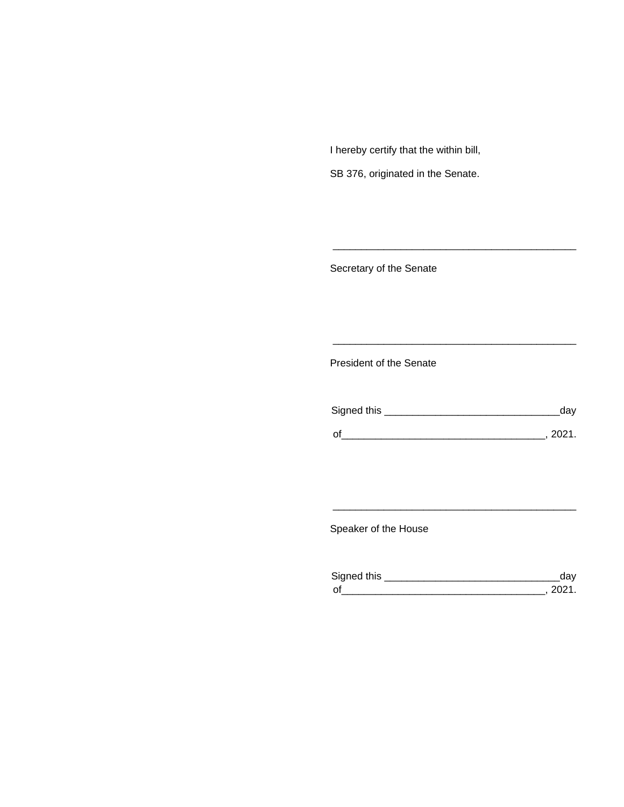I hereby certify that the within bill,

SB 376, originated in the Senate.

Secretary of the Senate

President of the Senate

| Signed this | uav    |
|-------------|--------|
|             | 111'11 |
| $\Omega$    |        |

\_\_\_\_\_\_\_\_\_\_\_\_\_\_\_\_\_\_\_\_\_\_\_\_\_\_\_\_\_\_\_\_\_\_\_\_\_\_\_\_\_\_\_

\_\_\_\_\_\_\_\_\_\_\_\_\_\_\_\_\_\_\_\_\_\_\_\_\_\_\_\_\_\_\_\_\_\_\_\_\_\_\_\_\_\_\_

Speaker of the House

| Sianed this |  |
|-------------|--|
| $\Omega$    |  |

\_\_\_\_\_\_\_\_\_\_\_\_\_\_\_\_\_\_\_\_\_\_\_\_\_\_\_\_\_\_\_\_\_\_\_\_\_\_\_\_\_\_\_